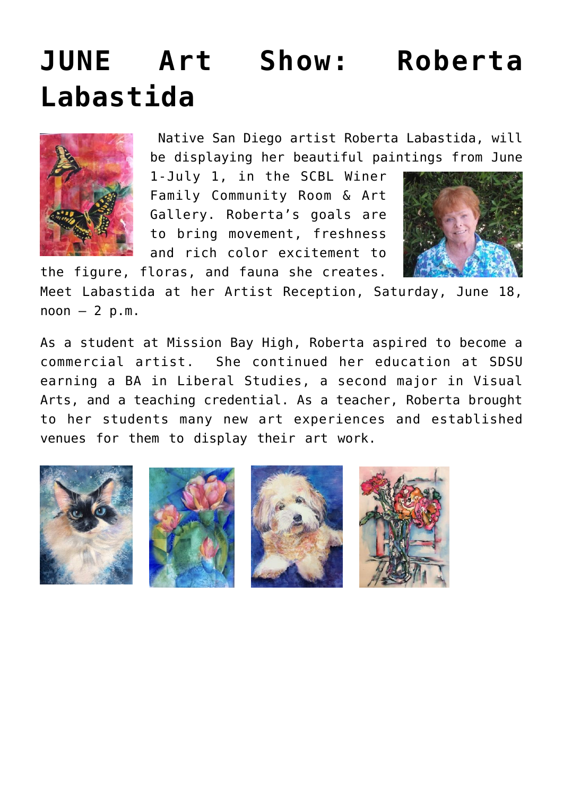## **[JUNE Art Show: Roberta](https://sancarlosfriendsofthelibrary.org/2022/01/01/june-roberta-labastida/) [Labastida](https://sancarlosfriendsofthelibrary.org/2022/01/01/june-roberta-labastida/)**



 Native San Diego artist Roberta Labastida, will be displaying her beautiful paintings from June

1-July 1, in the SCBL Winer Family Community Room & Art Gallery. Roberta's goals are to bring movement, freshness and rich color excitement to

the figure, floras, and fauna she creates.



Meet Labastida at her Artist Reception, Saturday, June 18,  $noon - 2 p.m.$ 

As a student at Mission Bay High, Roberta aspired to become a commercial artist. She continued her education at SDSU earning a BA in Liberal Studies, a second major in Visual Arts, and a teaching credential. As a teacher, Roberta brought to her students many new art experiences and established venues for them to display their art work.